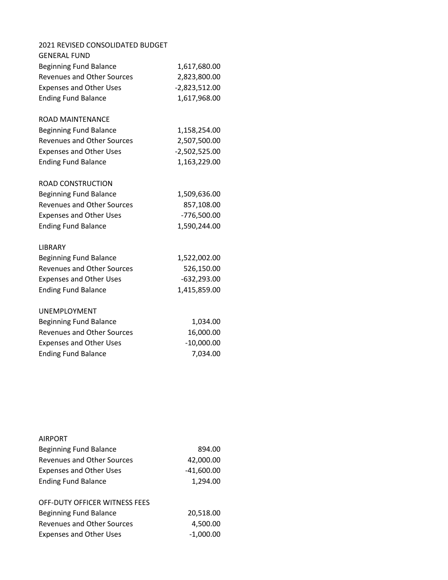| 2021 REVISED CONSOLIDATED BUDGET  |                 |
|-----------------------------------|-----------------|
| <b>GENERAL FUND</b>               |                 |
| <b>Beginning Fund Balance</b>     | 1,617,680.00    |
| <b>Revenues and Other Sources</b> | 2,823,800.00    |
| <b>Expenses and Other Uses</b>    | $-2,823,512.00$ |
| <b>Ending Fund Balance</b>        | 1,617,968.00    |
| <b>ROAD MAINTENANCE</b>           |                 |
| <b>Beginning Fund Balance</b>     | 1,158,254.00    |
| <b>Revenues and Other Sources</b> | 2,507,500.00    |
| <b>Expenses and Other Uses</b>    | $-2,502,525.00$ |
| <b>Ending Fund Balance</b>        | 1,163,229.00    |
| ROAD CONSTRUCTION                 |                 |
| <b>Beginning Fund Balance</b>     | 1,509,636.00    |
| <b>Revenues and Other Sources</b> | 857,108.00      |
| <b>Expenses and Other Uses</b>    | $-776,500.00$   |
| <b>Ending Fund Balance</b>        | 1,590,244.00    |
| LIBRARY                           |                 |
| <b>Beginning Fund Balance</b>     | 1,522,002.00    |
| <b>Revenues and Other Sources</b> | 526,150.00      |
| <b>Expenses and Other Uses</b>    | $-632,293.00$   |
| <b>Ending Fund Balance</b>        | 1,415,859.00    |
| <b>UNEMPLOYMENT</b>               |                 |
| <b>Beginning Fund Balance</b>     | 1,034.00        |
| <b>Revenues and Other Sources</b> | 16,000.00       |
| <b>Expenses and Other Uses</b>    | $-10,000.00$    |
| <b>Ending Fund Balance</b>        | 7,034.00        |

| <b>AIRPORT</b>                    |             |
|-----------------------------------|-------------|
| <b>Beginning Fund Balance</b>     | 894.00      |
| <b>Revenues and Other Sources</b> | 42,000.00   |
| <b>Expenses and Other Uses</b>    | -41,600.00  |
| <b>Ending Fund Balance</b>        | 1,294.00    |
|                                   |             |
| OFF-DUTY OFFICER WITNESS FEES     |             |
| <b>Beginning Fund Balance</b>     | 20,518.00   |
| <b>Revenues and Other Sources</b> | 4,500.00    |
| <b>Expenses and Other Uses</b>    | $-1.000.00$ |
|                                   |             |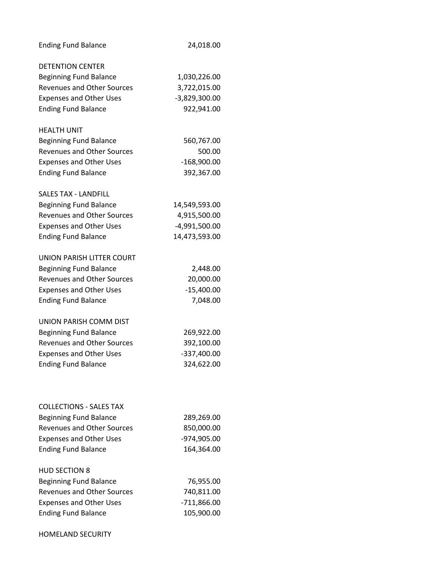| <b>Ending Fund Balance</b>        | 24,018.00     |
|-----------------------------------|---------------|
| <b>DETENTION CENTER</b>           |               |
| <b>Beginning Fund Balance</b>     | 1,030,226.00  |
| <b>Revenues and Other Sources</b> | 3,722,015.00  |
| <b>Expenses and Other Uses</b>    | -3,829,300.00 |
| <b>Ending Fund Balance</b>        | 922,941.00    |
| <b>HEALTH UNIT</b>                |               |
| <b>Beginning Fund Balance</b>     | 560,767.00    |
| <b>Revenues and Other Sources</b> | 500.00        |
| <b>Expenses and Other Uses</b>    | $-168,900.00$ |
| <b>Ending Fund Balance</b>        | 392,367.00    |
| <b>SALES TAX - LANDFILL</b>       |               |
| <b>Beginning Fund Balance</b>     | 14,549,593.00 |
| <b>Revenues and Other Sources</b> | 4,915,500.00  |
| <b>Expenses and Other Uses</b>    | -4,991,500.00 |
| <b>Ending Fund Balance</b>        | 14,473,593.00 |
| UNION PARISH LITTER COURT         |               |
| <b>Beginning Fund Balance</b>     | 2,448.00      |
| <b>Revenues and Other Sources</b> | 20,000.00     |
| <b>Expenses and Other Uses</b>    | $-15,400.00$  |
| <b>Ending Fund Balance</b>        | 7,048.00      |
| UNION PARISH COMM DIST            |               |
| <b>Beginning Fund Balance</b>     | 269,922.00    |
| <b>Revenues and Other Sources</b> | 392,100.00    |
| <b>Expenses and Other Uses</b>    | -337,400.00   |
| <b>Ending Fund Balance</b>        | 324,622.00    |
|                                   |               |
| <b>COLLECTIONS - SALES TAX</b>    |               |
| <b>Beginning Fund Balance</b>     | 289,269.00    |
| <b>Revenues and Other Sources</b> | 850,000.00    |
| <b>Expenses and Other Uses</b>    | -974,905.00   |
| <b>Ending Fund Balance</b>        | 164,364.00    |
| <b>HUD SECTION 8</b>              |               |
| <b>Beginning Fund Balance</b>     | 76,955.00     |
| <b>Revenues and Other Sources</b> | 740,811.00    |
| <b>Expenses and Other Uses</b>    | $-711,866.00$ |
| <b>Ending Fund Balance</b>        | 105,900.00    |
|                                   |               |

HOMELAND SECURITY